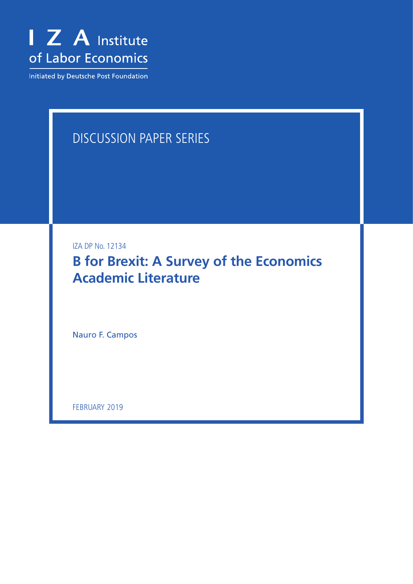

Initiated by Deutsche Post Foundation

# DISCUSSION PAPER SERIES

IZA DP No. 12134

**B for Brexit: A Survey of the Economics Academic Literature**

Nauro F. Campos

FEBRUARY 2019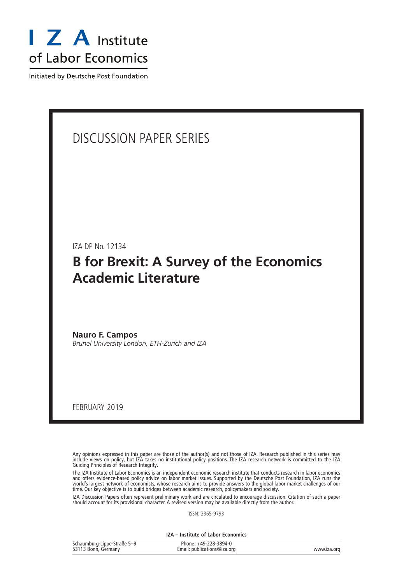

Initiated by Deutsche Post Foundation

### DISCUSSION PAPER SERIES

IZA DP No. 12134

## **B for Brexit: A Survey of the Economics Academic Literature**

**Nauro F. Campos** *Brunel University London, ETH-Zurich and IZA*

FEBRUARY 2019

Any opinions expressed in this paper are those of the author(s) and not those of IZA. Research published in this series may include views on policy, but IZA takes no institutional policy positions. The IZA research network is committed to the IZA Guiding Principles of Research Integrity.

The IZA Institute of Labor Economics is an independent economic research institute that conducts research in labor economics and offers evidence-based policy advice on labor market issues. Supported by the Deutsche Post Foundation, IZA runs the world's largest network of economists, whose research aims to provide answers to the global labor market challenges of our time. Our key objective is to build bridges between academic research, policymakers and society.

IZA Discussion Papers often represent preliminary work and are circulated to encourage discussion. Citation of such a paper should account for its provisional character. A revised version may be available directly from the author.

ISSN: 2365-9793

**IZA – Institute of Labor Economics**

| Schaumburg-Lippe-Straße 5-9 | Phone: +49-228-3894-0       |             |
|-----------------------------|-----------------------------|-------------|
| 53113 Bonn, Germany         | Email: publications@iza.org | www.iza.org |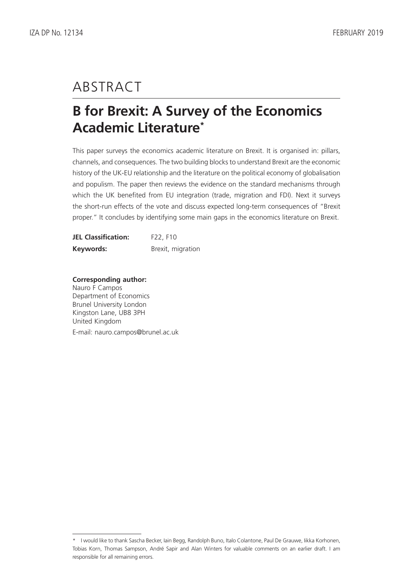# ABSTRACT

## **B for Brexit: A Survey of the Economics Academic Literature\***

This paper surveys the economics academic literature on Brexit. It is organised in: pillars, channels, and consequences. The two building blocks to understand Brexit are the economic history of the UK-EU relationship and the literature on the political economy of globalisation and populism. The paper then reviews the evidence on the standard mechanisms through which the UK benefited from EU integration (trade, migration and FDI). Next it surveys the short-run effects of the vote and discuss expected long-term consequences of "Brexit proper." It concludes by identifying some main gaps in the economics literature on Brexit.

| <b>JEL Classification:</b> | F22, F10          |
|----------------------------|-------------------|
| Keywords:                  | Brexit, migration |

#### **Corresponding author:** Nauro F Campos

Department of Economics Brunel University London Kingston Lane, UB8 3PH United Kingdom

E-mail: nauro.campos@brunel.ac.uk

<sup>\*</sup> I would like to thank Sascha Becker, Iain Begg, Randolph Buno, Italo Colantone, Paul De Grauwe, Iikka Korhonen, Tobias Korn, Thomas Sampson, André Sapir and Alan Winters for valuable comments on an earlier draft. I am responsible for all remaining errors.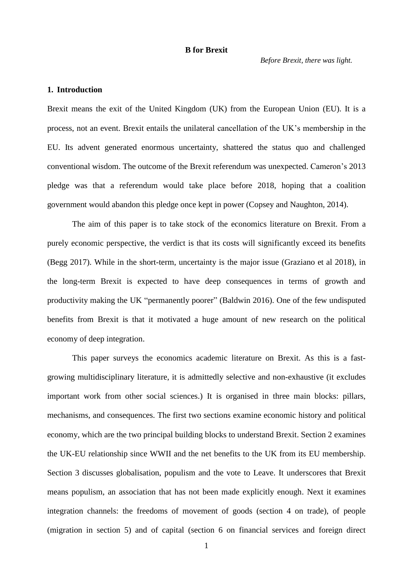*Before Brexit, there was light.*

#### **1. Introduction**

Brexit means the exit of the United Kingdom (UK) from the European Union (EU). It is a process, not an event. Brexit entails the unilateral cancellation of the UK's membership in the EU. Its advent generated enormous uncertainty, shattered the status quo and challenged conventional wisdom. The outcome of the Brexit referendum was unexpected. Cameron's 2013 pledge was that a referendum would take place before 2018, hoping that a coalition government would abandon this pledge once kept in power (Copsey and Naughton, 2014).

The aim of this paper is to take stock of the economics literature on Brexit. From a purely economic perspective, the verdict is that its costs will significantly exceed its benefits (Begg 2017). While in the short-term, uncertainty is the major issue (Graziano et al 2018), in the long-term Brexit is expected to have deep consequences in terms of growth and productivity making the UK "permanently poorer" (Baldwin 2016). One of the few undisputed benefits from Brexit is that it motivated a huge amount of new research on the political economy of deep integration.

This paper surveys the economics academic literature on Brexit. As this is a fastgrowing multidisciplinary literature, it is admittedly selective and non-exhaustive (it excludes important work from other social sciences.) It is organised in three main blocks: pillars, mechanisms, and consequences. The first two sections examine economic history and political economy, which are the two principal building blocks to understand Brexit. Section 2 examines the UK-EU relationship since WWII and the net benefits to the UK from its EU membership. Section 3 discusses globalisation, populism and the vote to Leave. It underscores that Brexit means populism, an association that has not been made explicitly enough. Next it examines integration channels: the freedoms of movement of goods (section 4 on trade), of people (migration in section 5) and of capital (section 6 on financial services and foreign direct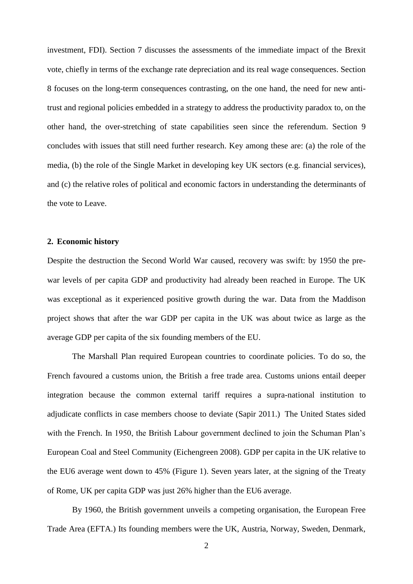investment, FDI). Section 7 discusses the assessments of the immediate impact of the Brexit vote, chiefly in terms of the exchange rate depreciation and its real wage consequences. Section 8 focuses on the long-term consequences contrasting, on the one hand, the need for new antitrust and regional policies embedded in a strategy to address the productivity paradox to, on the other hand, the over-stretching of state capabilities seen since the referendum. Section 9 concludes with issues that still need further research. Key among these are: (a) the role of the media, (b) the role of the Single Market in developing key UK sectors (e.g. financial services), and (c) the relative roles of political and economic factors in understanding the determinants of the vote to Leave.

#### **2. Economic history**

Despite the destruction the Second World War caused, recovery was swift: by 1950 the prewar levels of per capita GDP and productivity had already been reached in Europe. The UK was exceptional as it experienced positive growth during the war. Data from the Maddison project shows that after the war GDP per capita in the UK was about twice as large as the average GDP per capita of the six founding members of the EU.

The Marshall Plan required European countries to coordinate policies. To do so, the French favoured a customs union, the British a free trade area. Customs unions entail deeper integration because the common external tariff requires a supra-national institution to adjudicate conflicts in case members choose to deviate (Sapir 2011.) The United States sided with the French. In 1950, the British Labour government declined to join the Schuman Plan's European Coal and Steel Community (Eichengreen 2008). GDP per capita in the UK relative to the EU6 average went down to 45% (Figure 1). Seven years later, at the signing of the Treaty of Rome, UK per capita GDP was just 26% higher than the EU6 average.

By 1960, the British government unveils a competing organisation, the European Free Trade Area (EFTA.) Its founding members were the UK, Austria, Norway, Sweden, Denmark,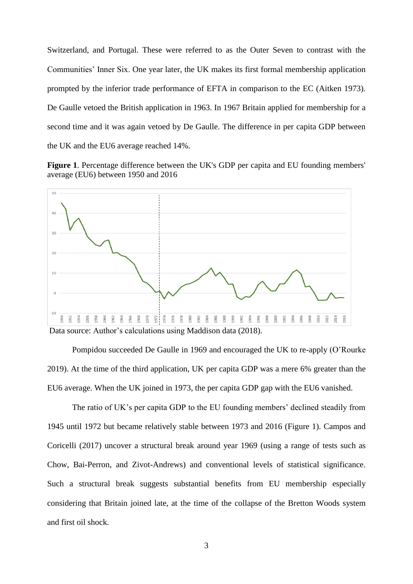Switzerland, and Portugal. These were referred to as the Outer Seven to contrast with the Communities' Inner Six. One year later, the UK makes its first formal membership application prompted by the inferior trade performance of EFTA in comparison to the EC (Aitken 1973). De Gaulle vetoed the British application in 1963. In 1967 Britain applied for membership for a second time and it was again vetoed by De Gaulle. The difference in per capita GDP between the UK and the EU6 average reached 14%.

**Figure 1**. Percentage difference between the UK's GDP per capita and EU founding members' average (EU6) between 1950 and 2016



Pompidou succeeded De Gaulle in 1969 and encouraged the UK to re-apply (O'Rourke 2019). At the time of the third application, UK per capita GDP was a mere 6% greater than the EU6 average. When the UK joined in 1973, the per capita GDP gap with the EU6 vanished.

The ratio of UK's per capita GDP to the EU founding members' declined steadily from 1945 until 1972 but became relatively stable between 1973 and 2016 (Figure 1). Campos and Coricelli (2017) uncover a structural break around year 1969 (using a range of tests such as Chow, Bai-Perron, and Zivot-Andrews) and conventional levels of statistical significance. Such a structural break suggests substantial benefits from EU membership especially considering that Britain joined late, at the time of the collapse of the Bretton Woods system and first oil shock.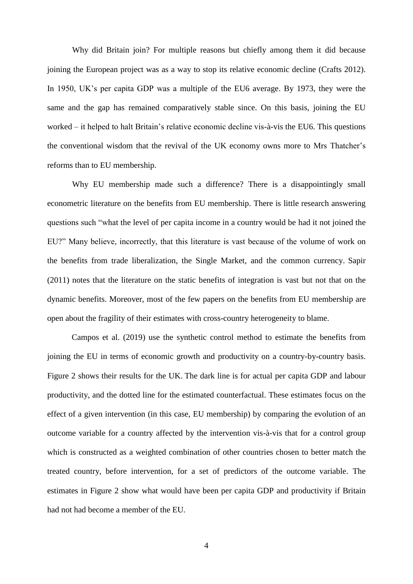Why did Britain join? For multiple reasons but chiefly among them it did because joining the European project was as a way to stop its relative economic decline (Crafts 2012). In 1950, UK's per capita GDP was a multiple of the EU6 average. By 1973, they were the same and the gap has remained comparatively stable since. On this basis, joining the EU worked – it helped to halt Britain's relative economic decline vis-à-vis the EU6. This questions the conventional wisdom that the revival of the UK economy owns more to Mrs Thatcher's reforms than to EU membership.

Why EU membership made such a difference? There is a disappointingly small econometric literature on the benefits from EU membership. There is little research answering questions such "what the level of per capita income in a country would be had it not joined the EU?" Many believe, incorrectly, that this literature is vast because of the volume of work on the benefits from trade liberalization, the Single Market, and the common currency. Sapir (2011) notes that the literature on the static benefits of integration is vast but not that on the dynamic benefits. Moreover, most of the few papers on the benefits from EU membership are open about the fragility of their estimates with cross-country heterogeneity to blame.

Campos et al. (2019) use the synthetic control method to estimate the benefits from joining the EU in terms of economic growth and productivity on a country-by-country basis. Figure 2 shows their results for the UK. The dark line is for actual per capita GDP and labour productivity, and the dotted line for the estimated counterfactual. These estimates focus on the effect of a given intervention (in this case, EU membership) by comparing the evolution of an outcome variable for a country affected by the intervention vis-à-vis that for a control group which is constructed as a weighted combination of other countries chosen to better match the treated country, before intervention, for a set of predictors of the outcome variable. The estimates in Figure 2 show what would have been per capita GDP and productivity if Britain had not had become a member of the EU.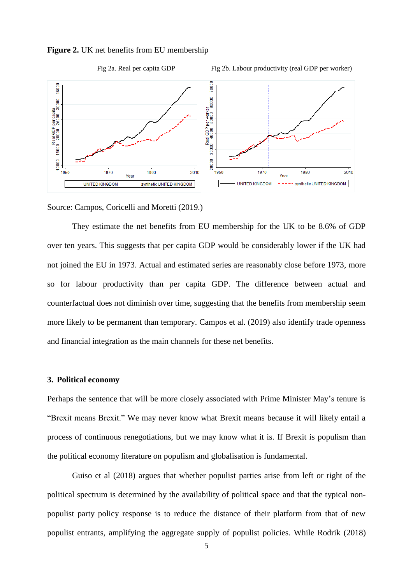

**Figure 2.** UK net benefits from EU membership

Source: Campos, Coricelli and Moretti (2019.)

They estimate the net benefits from EU membership for the UK to be 8.6% of GDP over ten years. This suggests that per capita GDP would be considerably lower if the UK had not joined the EU in 1973. Actual and estimated series are reasonably close before 1973, more so for labour productivity than per capita GDP. The difference between actual and counterfactual does not diminish over time, suggesting that the benefits from membership seem more likely to be permanent than temporary. Campos et al. (2019) also identify trade openness and financial integration as the main channels for these net benefits.

#### **3. Political economy**

Perhaps the sentence that will be more closely associated with Prime Minister May's tenure is "Brexit means Brexit." We may never know what Brexit means because it will likely entail a process of continuous renegotiations, but we may know what it is. If Brexit is populism than the political economy literature on populism and globalisation is fundamental.

Guiso et al (2018) argues that whether populist parties arise from left or right of the political spectrum is determined by the availability of political space and that the typical nonpopulist party policy response is to reduce the distance of their platform from that of new populist entrants, amplifying the aggregate supply of populist policies. While Rodrik (2018)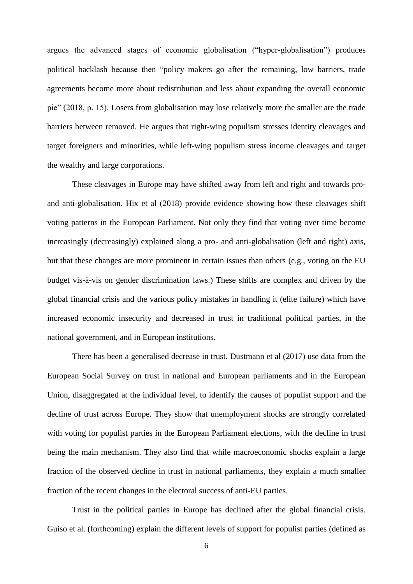argues the advanced stages of economic globalisation ("hyper-globalisation") produces political backlash because then "policy makers go after the remaining, low barriers, trade agreements become more about redistribution and less about expanding the overall economic pie" (2018, p. 15). Losers from globalisation may lose relatively more the smaller are the trade barriers between removed. He argues that right-wing populism stresses identity cleavages and target foreigners and minorities, while left-wing populism stress income cleavages and target the wealthy and large corporations.

These cleavages in Europe may have shifted away from left and right and towards proand anti-globalisation. Hix et al (2018) provide evidence showing how these cleavages shift voting patterns in the European Parliament. Not only they find that voting over time become increasingly (decreasingly) explained along a pro- and anti-globalisation (left and right) axis, but that these changes are more prominent in certain issues than others (e.g., voting on the EU budget vis-à-vis on gender discrimination laws.) These shifts are complex and driven by the global financial crisis and the various policy mistakes in handling it (elite failure) which have increased economic insecurity and decreased in trust in traditional political parties, in the national government, and in European institutions.

There has been a generalised decrease in trust. Dustmann et al (2017) use data from the European Social Survey on trust in national and European parliaments and in the European Union, disaggregated at the individual level, to identify the causes of populist support and the decline of trust across Europe. They show that unemployment shocks are strongly correlated with voting for populist parties in the European Parliament elections, with the decline in trust being the main mechanism. They also find that while macroeconomic shocks explain a large fraction of the observed decline in trust in national parliaments, they explain a much smaller fraction of the recent changes in the electoral success of anti-EU parties.

Trust in the political parties in Europe has declined after the global financial crisis. Guiso et al. (forthcoming) explain the different levels of support for populist parties (defined as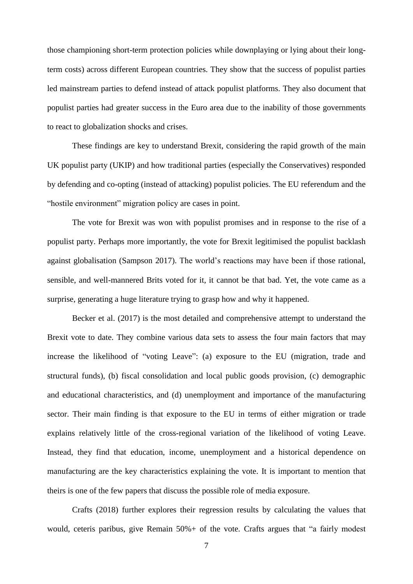those championing short-term protection policies while downplaying or lying about their longterm costs) across different European countries. They show that the success of populist parties led mainstream parties to defend instead of attack populist platforms. They also document that populist parties had greater success in the Euro area due to the inability of those governments to react to globalization shocks and crises.

These findings are key to understand Brexit, considering the rapid growth of the main UK populist party (UKIP) and how traditional parties (especially the Conservatives) responded by defending and co-opting (instead of attacking) populist policies. The EU referendum and the "hostile environment" migration policy are cases in point.

The vote for Brexit was won with populist promises and in response to the rise of a populist party. Perhaps more importantly, the vote for Brexit legitimised the populist backlash against globalisation (Sampson 2017). The world's reactions may have been if those rational, sensible, and well-mannered Brits voted for it, it cannot be that bad. Yet, the vote came as a surprise, generating a huge literature trying to grasp how and why it happened.

Becker et al. (2017) is the most detailed and comprehensive attempt to understand the Brexit vote to date. They combine various data sets to assess the four main factors that may increase the likelihood of "voting Leave": (a) exposure to the EU (migration, trade and structural funds), (b) fiscal consolidation and local public goods provision, (c) demographic and educational characteristics, and (d) unemployment and importance of the manufacturing sector. Their main finding is that exposure to the EU in terms of either migration or trade explains relatively little of the cross-regional variation of the likelihood of voting Leave. Instead, they find that education, income, unemployment and a historical dependence on manufacturing are the key characteristics explaining the vote. It is important to mention that theirs is one of the few papers that discuss the possible role of media exposure.

Crafts (2018) further explores their regression results by calculating the values that would, ceteris paribus, give Remain 50%+ of the vote. Crafts argues that "a fairly modest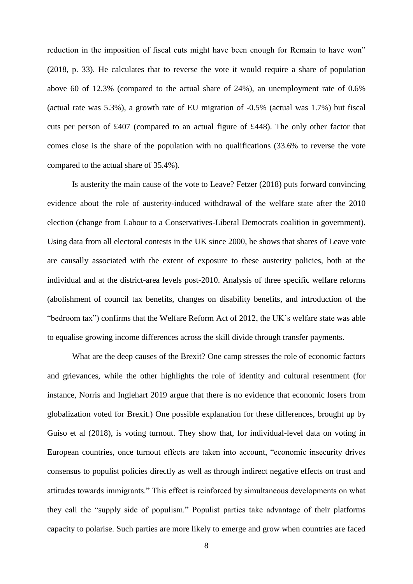reduction in the imposition of fiscal cuts might have been enough for Remain to have won" (2018, p. 33). He calculates that to reverse the vote it would require a share of population above 60 of 12.3% (compared to the actual share of 24%), an unemployment rate of 0.6% (actual rate was 5.3%), a growth rate of EU migration of -0.5% (actual was 1.7%) but fiscal cuts per person of £407 (compared to an actual figure of £448). The only other factor that comes close is the share of the population with no qualifications (33.6% to reverse the vote compared to the actual share of 35.4%).

Is austerity the main cause of the vote to Leave? Fetzer (2018) puts forward convincing evidence about the role of austerity-induced withdrawal of the welfare state after the 2010 election (change from Labour to a Conservatives-Liberal Democrats coalition in government). Using data from all electoral contests in the UK since 2000, he shows that shares of Leave vote are causally associated with the extent of exposure to these austerity policies, both at the individual and at the district-area levels post-2010. Analysis of three specific welfare reforms (abolishment of council tax benefits, changes on disability benefits, and introduction of the "bedroom tax") confirms that the Welfare Reform Act of 2012, the UK's welfare state was able to equalise growing income differences across the skill divide through transfer payments.

What are the deep causes of the Brexit? One camp stresses the role of economic factors and grievances, while the other highlights the role of identity and cultural resentment (for instance, Norris and Inglehart 2019 argue that there is no evidence that economic losers from globalization voted for Brexit.) One possible explanation for these differences, brought up by Guiso et al (2018), is voting turnout. They show that, for individual-level data on voting in European countries, once turnout effects are taken into account, "economic insecurity drives consensus to populist policies directly as well as through indirect negative effects on trust and attitudes towards immigrants." This effect is reinforced by simultaneous developments on what they call the "supply side of populism." Populist parties take advantage of their platforms capacity to polarise. Such parties are more likely to emerge and grow when countries are faced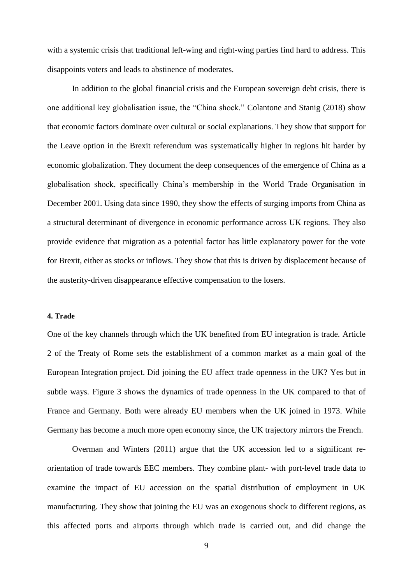with a systemic crisis that traditional left-wing and right-wing parties find hard to address. This disappoints voters and leads to abstinence of moderates.

In addition to the global financial crisis and the European sovereign debt crisis, there is one additional key globalisation issue, the "China shock." Colantone and Stanig (2018) show that economic factors dominate over cultural or social explanations. They show that support for the Leave option in the Brexit referendum was systematically higher in regions hit harder by economic globalization. They document the deep consequences of the emergence of China as a globalisation shock, specifically China's membership in the World Trade Organisation in December 2001. Using data since 1990, they show the effects of surging imports from China as a structural determinant of divergence in economic performance across UK regions. They also provide evidence that migration as a potential factor has little explanatory power for the vote for Brexit, either as stocks or inflows. They show that this is driven by displacement because of the austerity-driven disappearance effective compensation to the losers.

#### **4. Trade**

One of the key channels through which the UK benefited from EU integration is trade. Article 2 of the Treaty of Rome sets the establishment of a common market as a main goal of the European Integration project. Did joining the EU affect trade openness in the UK? Yes but in subtle ways. Figure 3 shows the dynamics of trade openness in the UK compared to that of France and Germany. Both were already EU members when the UK joined in 1973. While Germany has become a much more open economy since, the UK trajectory mirrors the French.

Overman and Winters (2011) argue that the UK accession led to a significant reorientation of trade towards EEC members. They combine plant- with port-level trade data to examine the impact of EU accession on the spatial distribution of employment in UK manufacturing. They show that joining the EU was an exogenous shock to different regions, as this affected ports and airports through which trade is carried out, and did change the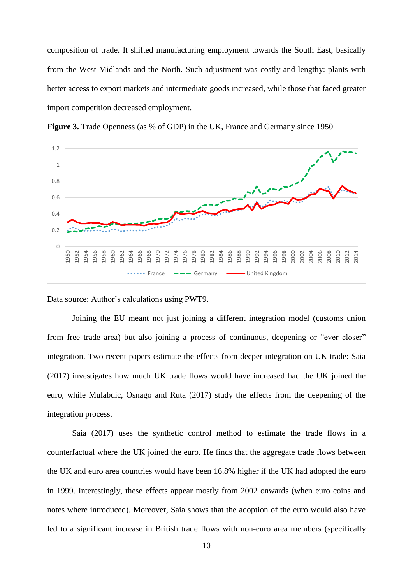composition of trade. It shifted manufacturing employment towards the South East, basically from the West Midlands and the North. Such adjustment was costly and lengthy: plants with better access to export markets and intermediate goods increased, while those that faced greater import competition decreased employment.



**Figure 3.** Trade Openness (as % of GDP) in the UK, France and Germany since 1950

Data source: Author's calculations using PWT9.

Joining the EU meant not just joining a different integration model (customs union from free trade area) but also joining a process of continuous, deepening or "ever closer" integration. Two recent papers estimate the effects from deeper integration on UK trade: Saia (2017) investigates how much UK trade flows would have increased had the UK joined the euro, while Mulabdic, Osnago and Ruta (2017) study the effects from the deepening of the integration process.

Saia (2017) uses the synthetic control method to estimate the trade flows in a counterfactual where the UK joined the euro. He finds that the aggregate trade flows between the UK and euro area countries would have been 16.8% higher if the UK had adopted the euro in 1999. Interestingly, these effects appear mostly from 2002 onwards (when euro coins and notes where introduced). Moreover, Saia shows that the adoption of the euro would also have led to a significant increase in British trade flows with non-euro area members (specifically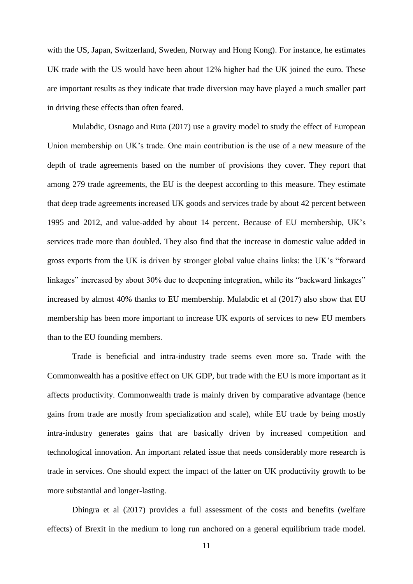with the US, Japan, Switzerland, Sweden, Norway and Hong Kong). For instance, he estimates UK trade with the US would have been about 12% higher had the UK joined the euro. These are important results as they indicate that trade diversion may have played a much smaller part in driving these effects than often feared.

Mulabdic, Osnago and Ruta (2017) use a gravity model to study the effect of European Union membership on UK's trade. One main contribution is the use of a new measure of the depth of trade agreements based on the number of provisions they cover. They report that among 279 trade agreements, the EU is the deepest according to this measure. They estimate that deep trade agreements increased UK goods and services trade by about 42 percent between 1995 and 2012, and value-added by about 14 percent. Because of EU membership, UK's services trade more than doubled. They also find that the increase in domestic value added in gross exports from the UK is driven by stronger global value chains links: the UK's "forward linkages" increased by about 30% due to deepening integration, while its "backward linkages" increased by almost 40% thanks to EU membership. Mulabdic et al (2017) also show that EU membership has been more important to increase UK exports of services to new EU members than to the EU founding members.

Trade is beneficial and intra-industry trade seems even more so. Trade with the Commonwealth has a positive effect on UK GDP, but trade with the EU is more important as it affects productivity. Commonwealth trade is mainly driven by comparative advantage (hence gains from trade are mostly from specialization and scale), while EU trade by being mostly intra-industry generates gains that are basically driven by increased competition and technological innovation. An important related issue that needs considerably more research is trade in services. One should expect the impact of the latter on UK productivity growth to be more substantial and longer-lasting.

Dhingra et al (2017) provides a full assessment of the costs and benefits (welfare effects) of Brexit in the medium to long run anchored on a general equilibrium trade model.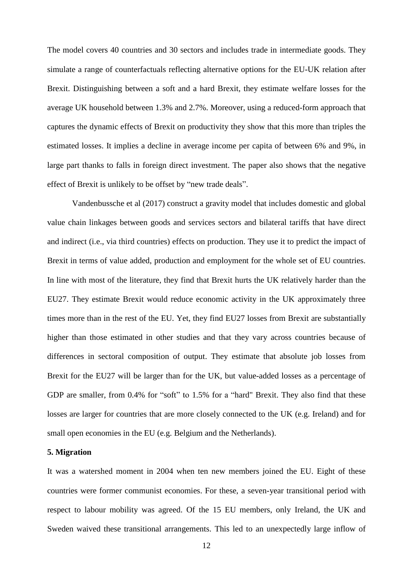The model covers 40 countries and 30 sectors and includes trade in intermediate goods. They simulate a range of counterfactuals reflecting alternative options for the EU-UK relation after Brexit. Distinguishing between a soft and a hard Brexit, they estimate welfare losses for the average UK household between 1.3% and 2.7%. Moreover, using a reduced-form approach that captures the dynamic effects of Brexit on productivity they show that this more than triples the estimated losses. It implies a decline in average income per capita of between 6% and 9%, in large part thanks to falls in foreign direct investment. The paper also shows that the negative effect of Brexit is unlikely to be offset by "new trade deals".

Vandenbussche et al (2017) construct a gravity model that includes domestic and global value chain linkages between goods and services sectors and bilateral tariffs that have direct and indirect (i.e., via third countries) effects on production. They use it to predict the impact of Brexit in terms of value added, production and employment for the whole set of EU countries. In line with most of the literature, they find that Brexit hurts the UK relatively harder than the EU27. They estimate Brexit would reduce economic activity in the UK approximately three times more than in the rest of the EU. Yet, they find EU27 losses from Brexit are substantially higher than those estimated in other studies and that they vary across countries because of differences in sectoral composition of output. They estimate that absolute job losses from Brexit for the EU27 will be larger than for the UK, but value-added losses as a percentage of GDP are smaller, from 0.4% for "soft" to 1.5% for a "hard" Brexit. They also find that these losses are larger for countries that are more closely connected to the UK (e.g. Ireland) and for small open economies in the EU (e.g. Belgium and the Netherlands).

#### **5. Migration**

It was a watershed moment in 2004 when ten new members joined the EU. Eight of these countries were former communist economies. For these, a seven-year transitional period with respect to labour mobility was agreed. Of the 15 EU members, only Ireland, the UK and Sweden waived these transitional arrangements. This led to an unexpectedly large inflow of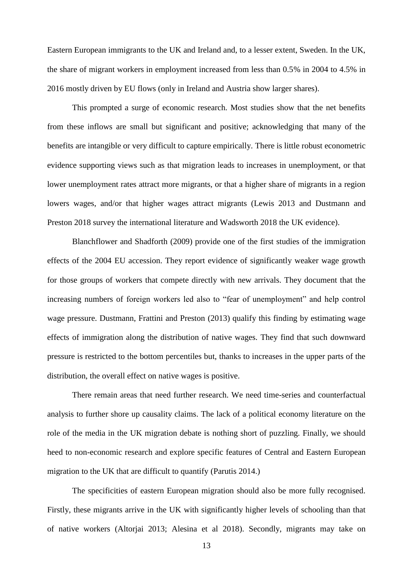Eastern European immigrants to the UK and Ireland and, to a lesser extent, Sweden. In the UK, the share of migrant workers in employment increased from less than 0.5% in 2004 to 4.5% in 2016 mostly driven by EU flows (only in Ireland and Austria show larger shares).

This prompted a surge of economic research. Most studies show that the net benefits from these inflows are small but significant and positive; acknowledging that many of the benefits are intangible or very difficult to capture empirically. There is little robust econometric evidence supporting views such as that migration leads to increases in unemployment, or that lower unemployment rates attract more migrants, or that a higher share of migrants in a region lowers wages, and/or that higher wages attract migrants (Lewis 2013 and Dustmann and Preston 2018 survey the international literature and Wadsworth 2018 the UK evidence).

Blanchflower and Shadforth (2009) provide one of the first studies of the immigration effects of the 2004 EU accession. They report evidence of significantly weaker wage growth for those groups of workers that compete directly with new arrivals. They document that the increasing numbers of foreign workers led also to "fear of unemployment" and help control wage pressure. Dustmann, Frattini and Preston (2013) qualify this finding by estimating wage effects of immigration along the distribution of native wages. They find that such downward pressure is restricted to the bottom percentiles but, thanks to increases in the upper parts of the distribution, the overall effect on native wages is positive.

There remain areas that need further research. We need time-series and counterfactual analysis to further shore up causality claims. The lack of a political economy literature on the role of the media in the UK migration debate is nothing short of puzzling. Finally, we should heed to non-economic research and explore specific features of Central and Eastern European migration to the UK that are difficult to quantify (Parutis 2014.)

The specificities of eastern European migration should also be more fully recognised. Firstly, these migrants arrive in the UK with significantly higher levels of schooling than that of native workers (Altorjai 2013; Alesina et al 2018). Secondly, migrants may take on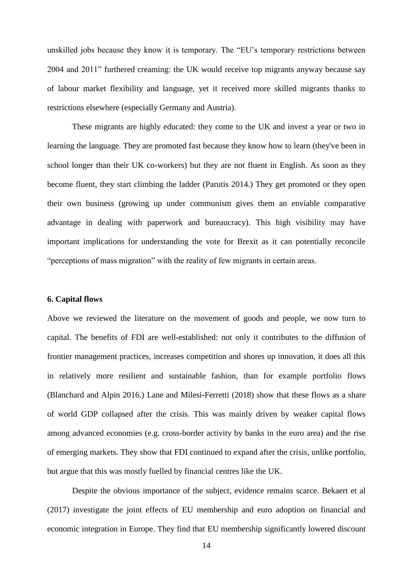unskilled jobs because they know it is temporary. The "EU's temporary restrictions between 2004 and 2011" furthered creaming: the UK would receive top migrants anyway because say of labour market flexibility and language, yet it received more skilled migrants thanks to restrictions elsewhere (especially Germany and Austria).

These migrants are highly educated: they come to the UK and invest a year or two in learning the language. They are promoted fast because they know how to learn (they've been in school longer than their UK co-workers) but they are not fluent in English. As soon as they become fluent, they start climbing the ladder (Parutis 2014.) They get promoted or they open their own business (growing up under communism gives them an enviable comparative advantage in dealing with paperwork and bureaucracy). This high visibility may have important implications for understanding the vote for Brexit as it can potentially reconcile "perceptions of mass migration" with the reality of few migrants in certain areas.

#### **6. Capital flows**

Above we reviewed the literature on the movement of goods and people, we now turn to capital. The benefits of FDI are well-established: not only it contributes to the diffusion of frontier management practices, increases competition and shores up innovation, it does all this in relatively more resilient and sustainable fashion, than for example portfolio flows (Blanchard and Alpin 2016.) Lane and Milesi-Ferretti (2018) show that these flows as a share of world GDP collapsed after the crisis. This was mainly driven by weaker capital flows among advanced economies (e.g. cross-border activity by banks in the euro area) and the rise of emerging markets. They show that FDI continued to expand after the crisis, unlike portfolio, but argue that this was mostly fuelled by financial centres like the UK.

Despite the obvious importance of the subject, evidence remains scarce. Bekaert et al (2017) investigate the joint effects of EU membership and euro adoption on financial and economic integration in Europe. They find that EU membership significantly lowered discount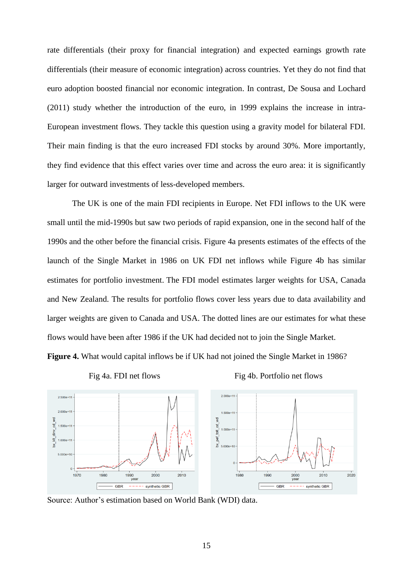rate differentials (their proxy for financial integration) and expected earnings growth rate differentials (their measure of economic integration) across countries. Yet they do not find that euro adoption boosted financial nor economic integration. In contrast, De Sousa and Lochard (2011) study whether the introduction of the euro, in 1999 explains the increase in intra-European investment flows. They tackle this question using a gravity model for bilateral FDI. Their main finding is that the euro increased FDI stocks by around 30%. More importantly, they find evidence that this effect varies over time and across the euro area: it is significantly larger for outward investments of less-developed members.

The UK is one of the main FDI recipients in Europe. Net FDI inflows to the UK were small until the mid-1990s but saw two periods of rapid expansion, one in the second half of the 1990s and the other before the financial crisis. Figure 4a presents estimates of the effects of the launch of the Single Market in 1986 on UK FDI net inflows while Figure 4b has similar estimates for portfolio investment. The FDI model estimates larger weights for USA, Canada and New Zealand. The results for portfolio flows cover less years due to data availability and larger weights are given to Canada and USA. The dotted lines are our estimates for what these flows would have been after 1986 if the UK had decided not to join the Single Market. **Figure 4.** What would capital inflows be if UK had not joined the Single Market in 1986?







Source: Author's estimation based on World Bank (WDI) data.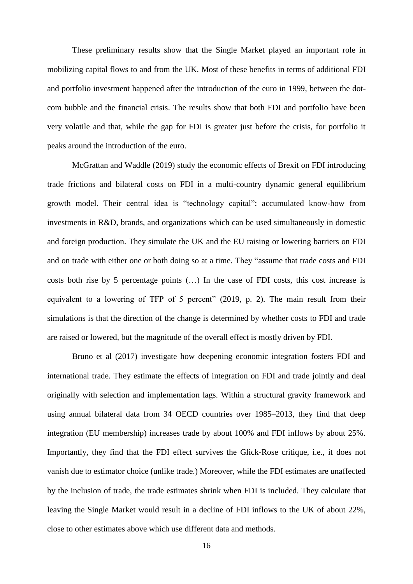These preliminary results show that the Single Market played an important role in mobilizing capital flows to and from the UK. Most of these benefits in terms of additional FDI and portfolio investment happened after the introduction of the euro in 1999, between the dotcom bubble and the financial crisis. The results show that both FDI and portfolio have been very volatile and that, while the gap for FDI is greater just before the crisis, for portfolio it peaks around the introduction of the euro.

McGrattan and Waddle (2019) study the economic effects of Brexit on FDI introducing trade frictions and bilateral costs on FDI in a multi-country dynamic general equilibrium growth model. Their central idea is "technology capital": accumulated know-how from investments in R&D, brands, and organizations which can be used simultaneously in domestic and foreign production. They simulate the UK and the EU raising or lowering barriers on FDI and on trade with either one or both doing so at a time. They "assume that trade costs and FDI costs both rise by 5 percentage points (…) In the case of FDI costs, this cost increase is equivalent to a lowering of TFP of 5 percent" (2019, p. 2). The main result from their simulations is that the direction of the change is determined by whether costs to FDI and trade are raised or lowered, but the magnitude of the overall effect is mostly driven by FDI.

Bruno et al (2017) investigate how deepening economic integration fosters FDI and international trade. They estimate the effects of integration on FDI and trade jointly and deal originally with selection and implementation lags. Within a structural gravity framework and using annual bilateral data from 34 OECD countries over 1985–2013, they find that deep integration (EU membership) increases trade by about 100% and FDI inflows by about 25%. Importantly, they find that the FDI effect survives the Glick-Rose critique, i.e., it does not vanish due to estimator choice (unlike trade.) Moreover, while the FDI estimates are unaffected by the inclusion of trade, the trade estimates shrink when FDI is included. They calculate that leaving the Single Market would result in a decline of FDI inflows to the UK of about 22%, close to other estimates above which use different data and methods.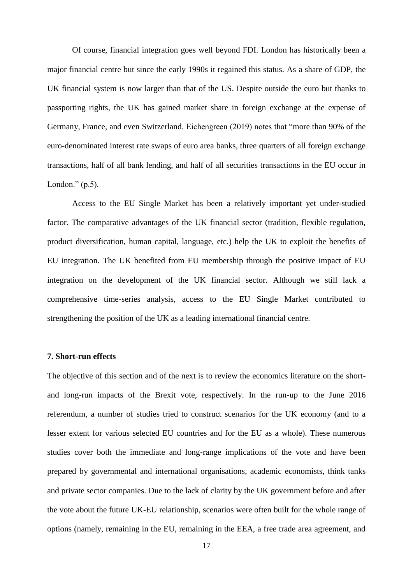Of course, financial integration goes well beyond FDI. London has historically been a major financial centre but since the early 1990s it regained this status. As a share of GDP, the UK financial system is now larger than that of the US. Despite outside the euro but thanks to passporting rights, the UK has gained market share in foreign exchange at the expense of Germany, France, and even Switzerland. Eichengreen (2019) notes that "more than 90% of the euro-denominated interest rate swaps of euro area banks, three quarters of all foreign exchange transactions, half of all bank lending, and half of all securities transactions in the EU occur in London." (p.5).

Access to the EU Single Market has been a relatively important yet under-studied factor. The comparative advantages of the UK financial sector (tradition, flexible regulation, product diversification, human capital, language, etc.) help the UK to exploit the benefits of EU integration. The UK benefited from EU membership through the positive impact of EU integration on the development of the UK financial sector. Although we still lack a comprehensive time-series analysis, access to the EU Single Market contributed to strengthening the position of the UK as a leading international financial centre.

#### **7. Short-run effects**

The objective of this section and of the next is to review the economics literature on the shortand long-run impacts of the Brexit vote, respectively. In the run-up to the June 2016 referendum, a number of studies tried to construct scenarios for the UK economy (and to a lesser extent for various selected EU countries and for the EU as a whole). These numerous studies cover both the immediate and long-range implications of the vote and have been prepared by governmental and international organisations, academic economists, think tanks and private sector companies. Due to the lack of clarity by the UK government before and after the vote about the future UK-EU relationship, scenarios were often built for the whole range of options (namely, remaining in the EU, remaining in the EEA, a free trade area agreement, and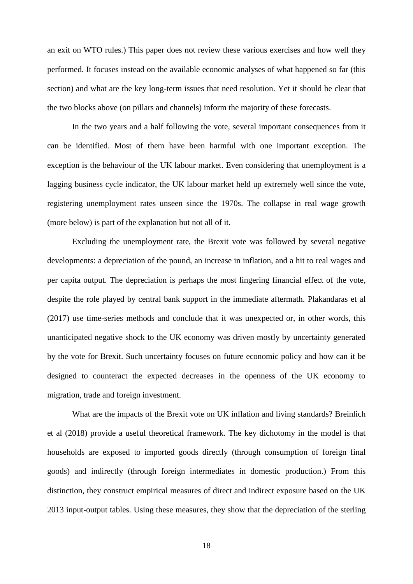an exit on WTO rules.) This paper does not review these various exercises and how well they performed. It focuses instead on the available economic analyses of what happened so far (this section) and what are the key long-term issues that need resolution. Yet it should be clear that the two blocks above (on pillars and channels) inform the majority of these forecasts.

In the two years and a half following the vote, several important consequences from it can be identified. Most of them have been harmful with one important exception. The exception is the behaviour of the UK labour market. Even considering that unemployment is a lagging business cycle indicator, the UK labour market held up extremely well since the vote, registering unemployment rates unseen since the 1970s. The collapse in real wage growth (more below) is part of the explanation but not all of it.

Excluding the unemployment rate, the Brexit vote was followed by several negative developments: a depreciation of the pound, an increase in inflation, and a hit to real wages and per capita output. The depreciation is perhaps the most lingering financial effect of the vote, despite the role played by central bank support in the immediate aftermath. Plakandaras et al (2017) use time-series methods and conclude that it was unexpected or, in other words, this unanticipated negative shock to the UK economy was driven mostly by uncertainty generated by the vote for Brexit. Such uncertainty focuses on future economic policy and how can it be designed to counteract the expected decreases in the openness of the UK economy to migration, trade and foreign investment.

What are the impacts of the Brexit vote on UK inflation and living standards? Breinlich et al (2018) provide a useful theoretical framework. The key dichotomy in the model is that households are exposed to imported goods directly (through consumption of foreign final goods) and indirectly (through foreign intermediates in domestic production.) From this distinction, they construct empirical measures of direct and indirect exposure based on the UK 2013 input-output tables. Using these measures, they show that the depreciation of the sterling

18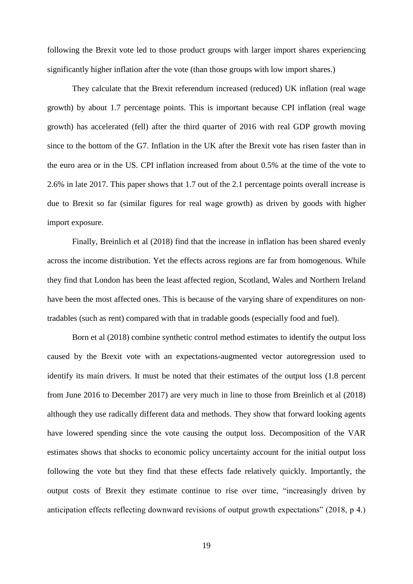following the Brexit vote led to those product groups with larger import shares experiencing significantly higher inflation after the vote (than those groups with low import shares.)

They calculate that the Brexit referendum increased (reduced) UK inflation (real wage growth) by about 1.7 percentage points. This is important because CPI inflation (real wage growth) has accelerated (fell) after the third quarter of 2016 with real GDP growth moving since to the bottom of the G7. Inflation in the UK after the Brexit vote has risen faster than in the euro area or in the US. CPI inflation increased from about 0.5% at the time of the vote to 2.6% in late 2017. This paper shows that 1.7 out of the 2.1 percentage points overall increase is due to Brexit so far (similar figures for real wage growth) as driven by goods with higher import exposure.

Finally, Breinlich et al (2018) find that the increase in inflation has been shared evenly across the income distribution. Yet the effects across regions are far from homogenous. While they find that London has been the least affected region, Scotland, Wales and Northern Ireland have been the most affected ones. This is because of the varying share of expenditures on nontradables (such as rent) compared with that in tradable goods (especially food and fuel).

Born et al (2018) combine synthetic control method estimates to identify the output loss caused by the Brexit vote with an expectations-augmented vector autoregression used to identify its main drivers. It must be noted that their estimates of the output loss (1.8 percent from June 2016 to December 2017) are very much in line to those from Breinlich et al (2018) although they use radically different data and methods. They show that forward looking agents have lowered spending since the vote causing the output loss. Decomposition of the VAR estimates shows that shocks to economic policy uncertainty account for the initial output loss following the vote but they find that these effects fade relatively quickly. Importantly, the output costs of Brexit they estimate continue to rise over time, "increasingly driven by anticipation effects reflecting downward revisions of output growth expectations" (2018, p 4.)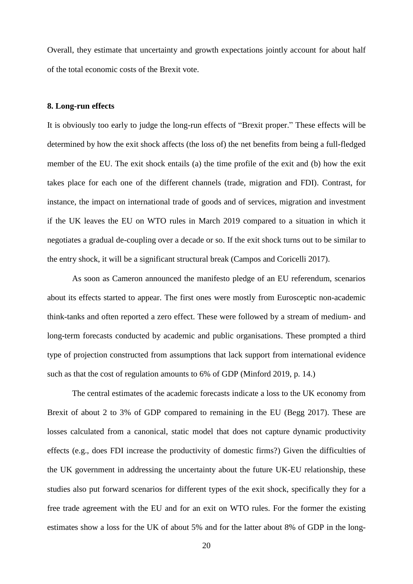Overall, they estimate that uncertainty and growth expectations jointly account for about half of the total economic costs of the Brexit vote.

#### **8. Long-run effects**

It is obviously too early to judge the long-run effects of "Brexit proper." These effects will be determined by how the exit shock affects (the loss of) the net benefits from being a full-fledged member of the EU. The exit shock entails (a) the time profile of the exit and (b) how the exit takes place for each one of the different channels (trade, migration and FDI). Contrast, for instance, the impact on international trade of goods and of services, migration and investment if the UK leaves the EU on WTO rules in March 2019 compared to a situation in which it negotiates a gradual de-coupling over a decade or so. If the exit shock turns out to be similar to the entry shock, it will be a significant structural break (Campos and Coricelli 2017).

As soon as Cameron announced the manifesto pledge of an EU referendum, scenarios about its effects started to appear. The first ones were mostly from Eurosceptic non-academic think-tanks and often reported a zero effect. These were followed by a stream of medium- and long-term forecasts conducted by academic and public organisations. These prompted a third type of projection constructed from assumptions that lack support from international evidence such as that the cost of regulation amounts to 6% of GDP (Minford 2019, p. 14.)

The central estimates of the academic forecasts indicate a loss to the UK economy from Brexit of about 2 to 3% of GDP compared to remaining in the EU (Begg 2017). These are losses calculated from a canonical, static model that does not capture dynamic productivity effects (e.g., does FDI increase the productivity of domestic firms?) Given the difficulties of the UK government in addressing the uncertainty about the future UK-EU relationship, these studies also put forward scenarios for different types of the exit shock, specifically they for a free trade agreement with the EU and for an exit on WTO rules. For the former the existing estimates show a loss for the UK of about 5% and for the latter about 8% of GDP in the long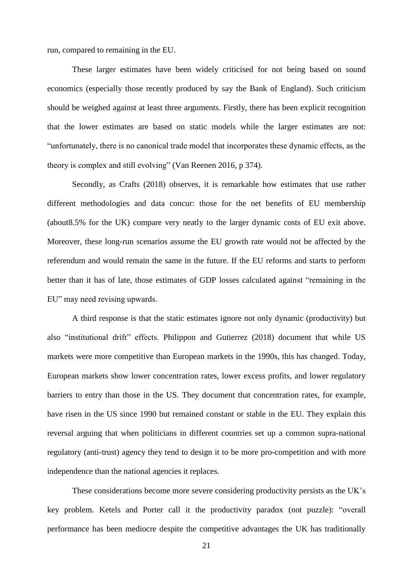run, compared to remaining in the EU.

These larger estimates have been widely criticised for not being based on sound economics (especially those recently produced by say the Bank of England). Such criticism should be weighed against at least three arguments. Firstly, there has been explicit recognition that the lower estimates are based on static models while the larger estimates are not: "unfortunately, there is no canonical trade model that incorporates these dynamic effects, as the theory is complex and still evolving" (Van Reenen 2016, p 374).

Secondly, as Crafts (2018) observes, it is remarkable how estimates that use rather different methodologies and data concur: those for the net benefits of EU membership (about8.5% for the UK) compare very neatly to the larger dynamic costs of EU exit above. Moreover, these long-run scenarios assume the EU growth rate would not be affected by the referendum and would remain the same in the future. If the EU reforms and starts to perform better than it has of late, those estimates of GDP losses calculated against "remaining in the EU" may need revising upwards.

A third response is that the static estimates ignore not only dynamic (productivity) but also "institutional drift" effects. Philippon and Gutierrez (2018) document that while US markets were more competitive than European markets in the 1990s, this has changed. Today, European markets show lower concentration rates, lower excess profits, and lower regulatory barriers to entry than those in the US. They document that concentration rates, for example, have risen in the US since 1990 but remained constant or stable in the EU. They explain this reversal arguing that when politicians in different countries set up a common supra-national regulatory (anti-trust) agency they tend to design it to be more pro-competition and with more independence than the national agencies it replaces.

These considerations become more severe considering productivity persists as the UK's key problem. Ketels and Porter call it the productivity paradox (not puzzle): "overall performance has been mediocre despite the competitive advantages the UK has traditionally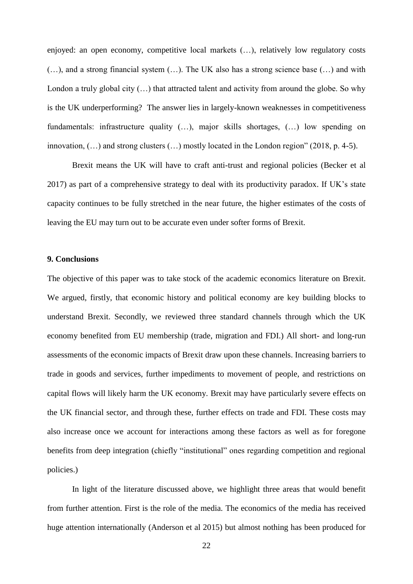enjoyed: an open economy, competitive local markets (…), relatively low regulatory costs (…), and a strong financial system (…). The UK also has a strong science base (…) and with London a truly global city  $(...)$  that attracted talent and activity from around the globe. So why is the UK underperforming? The answer lies in largely-known weaknesses in competitiveness fundamentals: infrastructure quality (…), major skills shortages, (…) low spending on innovation, (…) and strong clusters (…) mostly located in the London region" (2018, p. 4-5).

Brexit means the UK will have to craft anti-trust and regional policies (Becker et al 2017) as part of a comprehensive strategy to deal with its productivity paradox. If UK's state capacity continues to be fully stretched in the near future, the higher estimates of the costs of leaving the EU may turn out to be accurate even under softer forms of Brexit.

#### **9. Conclusions**

The objective of this paper was to take stock of the academic economics literature on Brexit. We argued, firstly, that economic history and political economy are key building blocks to understand Brexit. Secondly, we reviewed three standard channels through which the UK economy benefited from EU membership (trade, migration and FDI.) All short- and long-run assessments of the economic impacts of Brexit draw upon these channels. Increasing barriers to trade in goods and services, further impediments to movement of people, and restrictions on capital flows will likely harm the UK economy. Brexit may have particularly severe effects on the UK financial sector, and through these, further effects on trade and FDI. These costs may also increase once we account for interactions among these factors as well as for foregone benefits from deep integration (chiefly "institutional" ones regarding competition and regional policies.)

In light of the literature discussed above, we highlight three areas that would benefit from further attention. First is the role of the media. The economics of the media has received huge attention internationally (Anderson et al 2015) but almost nothing has been produced for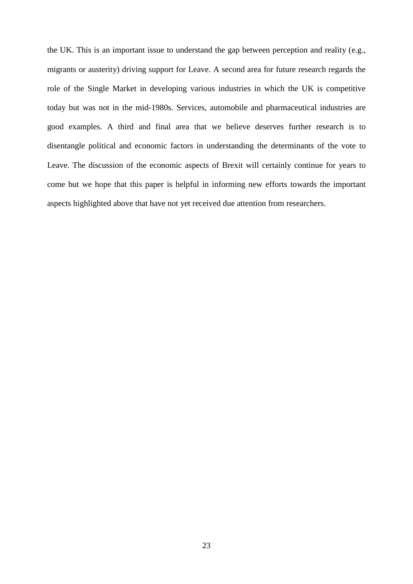the UK. This is an important issue to understand the gap between perception and reality (e.g., migrants or austerity) driving support for Leave. A second area for future research regards the role of the Single Market in developing various industries in which the UK is competitive today but was not in the mid-1980s. Services, automobile and pharmaceutical industries are good examples. A third and final area that we believe deserves further research is to disentangle political and economic factors in understanding the determinants of the vote to Leave. The discussion of the economic aspects of Brexit will certainly continue for years to come but we hope that this paper is helpful in informing new efforts towards the important aspects highlighted above that have not yet received due attention from researchers.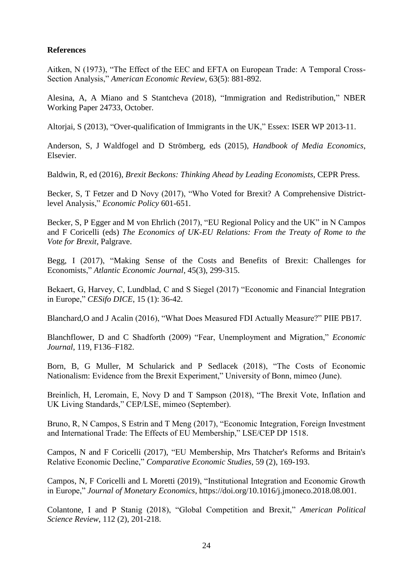### **References**

Aitken, N (1973), "The Effect of the EEC and EFTA on European Trade: A Temporal Cross-Section Analysis," *American Economic Review*, 63(5): 881-892.

Alesina, A, A Miano and S Stantcheva (2018), "Immigration and Redistribution," NBER Working Paper 24733, October.

Altorjai, S (2013), "Over-qualification of Immigrants in the UK," Essex: ISER WP 2013-11.

Anderson, S, J Waldfogel and D Strömberg, eds (2015), *Handbook of Media Economics*, Elsevier.

Baldwin, R, ed (2016), *Brexit Beckons: Thinking Ahead by Leading Economists*, CEPR Press.

Becker, S, T Fetzer and D Novy (2017), "Who Voted for Brexit? A Comprehensive Districtlevel Analysis," *Economic Policy* 601-651.

Becker, S, P Egger and M von Ehrlich (2017), "EU Regional Policy and the UK" in N Campos and F Coricelli (eds) *The Economics of UK-EU Relations: From the Treaty of Rome to the Vote for Brexit*, Palgrave.

Begg, I (2017), "Making Sense of the Costs and Benefits of Brexit: Challenges for Economists," *Atlantic Economic Journal*, 45(3), 299-315.

Bekaert, G, Harvey, C, Lundblad, C and S Siegel (2017) "Economic and Financial Integration in Europe," *CESifo DICE*, 15 (1): 36-42.

Blanchard,O and J Acalin (2016), "What Does Measured FDI Actually Measure?" PIIE PB17.

Blanchflower, D and C Shadforth (2009) "Fear, Unemployment and Migration," *Economic Journal*, 119, F136–F182.

Born, B, G Muller, M Schularick and P Sedlacek (2018), "The Costs of Economic Nationalism: Evidence from the Brexit Experiment," University of Bonn, mimeo (June).

Breinlich, H, Leromain, E, Novy D and T Sampson (2018), "The Brexit Vote, Inflation and UK Living Standards," CEP/LSE, mimeo (September).

Bruno, R, N Campos, S Estrin and T Meng (2017), "Economic Integration, Foreign Investment and International Trade: The Effects of EU Membership," LSE/CEP DP 1518.

Campos, N and F Coricelli (2017), "EU Membership, Mrs Thatcher's Reforms and Britain's Relative Economic Decline," *Comparative Economic Studies*, 59 (2), 169-193.

Campos, N, F Coricelli and L Moretti (2019), "Institutional Integration and Economic Growth in Europe," *Journal of Monetary Economics,* https://doi.org/10.1016/j.jmoneco.2018.08.001.

Colantone, I and P Stanig (2018), "Global Competition and Brexit," *American Political Science Review*, 112 (2), 201-218.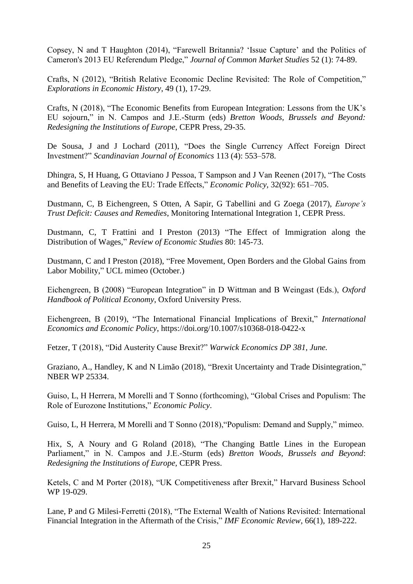Copsey, N and T Haughton (2014), "Farewell Britannia? 'Issue Capture' and the Politics of Cameron's 2013 EU Referendum Pledge," *Journal of Common Market Studies* 52 (1): 74-89.

Crafts, N (2012), "British Relative Economic Decline Revisited: The Role of Competition," *Explorations in Economic History*, 49 (1), 17-29.

Crafts, N (2018), "The Economic Benefits from European Integration: Lessons from the UK's EU sojourn," in N. Campos and J.E.-Sturm (eds) *Bretton Woods, Brussels and Beyond: Redesigning the Institutions of Europe*, CEPR Press, 29-35.

De Sousa, J and J Lochard (2011), "Does the Single Currency Affect Foreign Direct Investment?" *Scandinavian Journal of Economics* 113 (4): 553–578.

Dhingra, S, H Huang, G Ottaviano J Pessoa, T Sampson and J Van Reenen (2017), "The Costs and Benefits of Leaving the EU: Trade Effects," *Economic Policy*, 32(92): 651–705.

Dustmann, C, B Eichengreen, S Otten, A Sapir, G Tabellini and G Zoega (2017), *Europe's Trust Deficit: Causes and Remedies*, Monitoring International Integration 1, CEPR Press.

Dustmann, C, T Frattini and I Preston (2013) "The Effect of Immigration along the Distribution of Wages," *Review of Economic Studies* 80: 145-73.

Dustmann, C and I Preston (2018), "Free Movement, Open Borders and the Global Gains from Labor Mobility," UCL mimeo (October.)

Eichengreen, B (2008) "European Integration" in D Wittman and B Weingast (Eds.), *Oxford Handbook of Political Economy*, Oxford University Press.

Eichengreen, B (2019), "The International Financial Implications of Brexit," *International Economics and Economic Policy*, https://doi.org/10.1007/s10368-018-0422-x

Fetzer, T (2018), "Did Austerity Cause Brexit?" *Warwick Economics DP 381, June.*

Graziano, A., Handley, K and N Limão (2018), "Brexit Uncertainty and Trade Disintegration," NBER WP 25334.

Guiso, L, H Herrera, M Morelli and T Sonno (forthcoming), "Global Crises and Populism: The Role of Eurozone Institutions," *Economic Policy*.

Guiso, L, H Herrera, M Morelli and T Sonno (2018),"Populism: Demand and Supply," mimeo.

Hix, S, A Noury and G Roland (2018), "The Changing Battle Lines in the European Parliament," in N. Campos and J.E.-Sturm (eds) *Bretton Woods, Brussels and Beyond*: *Redesigning the Institutions of Europe,* CEPR Press.

Ketels, C and M Porter (2018), "UK Competitiveness after Brexit," Harvard Business School WP 19-029.

Lane, P and G Milesi-Ferretti (2018), "The External Wealth of Nations Revisited: International Financial Integration in the Aftermath of the Crisis," *IMF Economic Review*, 66(1), 189-222.